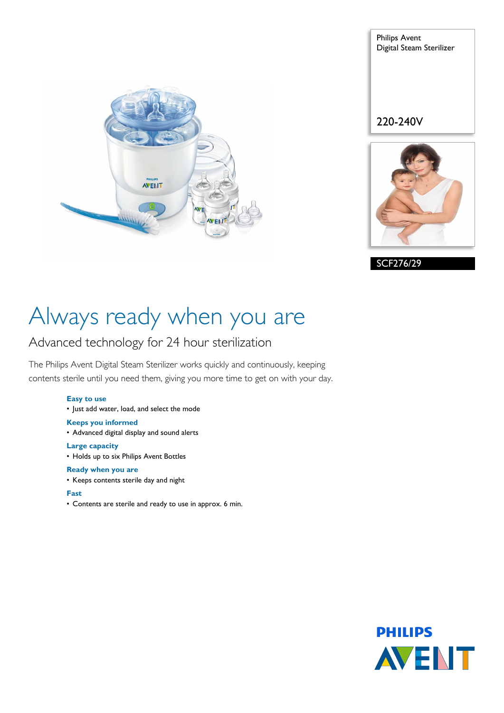

Philips Avent Digital Steam Sterilizer 220-240V

SCF276/29

# Always ready when you are

### Advanced technology for 24 hour sterilization

The Philips Avent Digital Steam Sterilizer works quickly and continuously, keeping contents sterile until you need them, giving you more time to get on with your day.

### **Easy to use**

• Just add water, load, and select the mode

#### **Keeps you informed**

• Advanced digital display and sound alerts

#### **Large capacity**

• Holds up to six Philips Avent Bottles

### **Ready when you are**

• Keeps contents sterile day and night

### **Fast**

• Contents are sterile and ready to use in approx. 6 min.